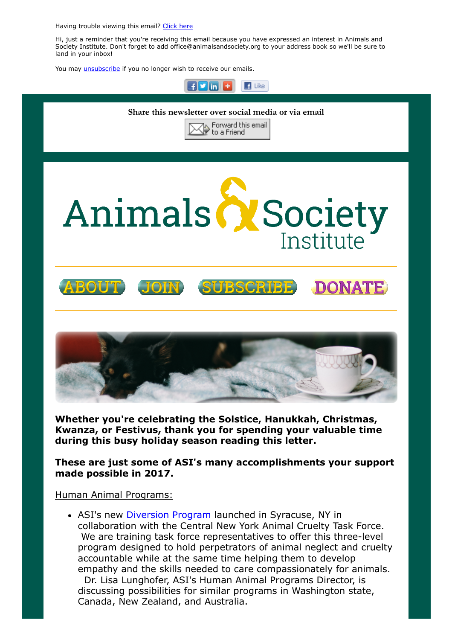Having trouble viewing this email? [Click](http://campaign.r20.constantcontact.com/render?ca=f4d2d5b6-a7fd-414a-8494-1c5584b02863&preview=true&m=1117082078075&id=preview) here

Hi, just a reminder that you're receiving this email because you have expressed an interest in Animals and Society Institute. Don't forget to add office@animalsandsociety.org to your address book so we'll be sure to land in your inbox!

You may **[unsubscribe](https://visitor.constantcontact.com/do?p=un&mse=0016u8cGCOk4ijLe6EYFlbq8UmlFeKV0nFU&t=001BXzocrMTfOgDKfe-voZCfw%3D%3D&id=001b-xBWU3VMkcM8dYr8taaWXSJRe02Iknl&llr=88spulqab)** if you no longer wish to receive our emails.



Whether you're celebrating the Solstice, Hanukkah, Christmas, Kwanza, or Festivus, thank you for spending your valuable time during this busy holiday season reading this letter.

These are just some of ASI's many accomplishments your support made possible in 2017.

## Human Animal Programs:

• ASI's new [Diversion Program](https://www.animalsandsociety.org/helping-animals-and-people/diversion-programs/) launched in Syracuse, NY in collaboration with the Central New York Animal Cruelty Task Force. We are training task force representatives to offer this three-level program designed to hold perpetrators of animal neglect and cruelty accountable while at the same time helping them to develop empathy and the skills needed to care compassionately for animals.

 Dr. Lisa Lunghofer, ASI's Human Animal Programs Director, is discussing possibilities for similar programs in Washington state, Canada, New Zealand, and Australia.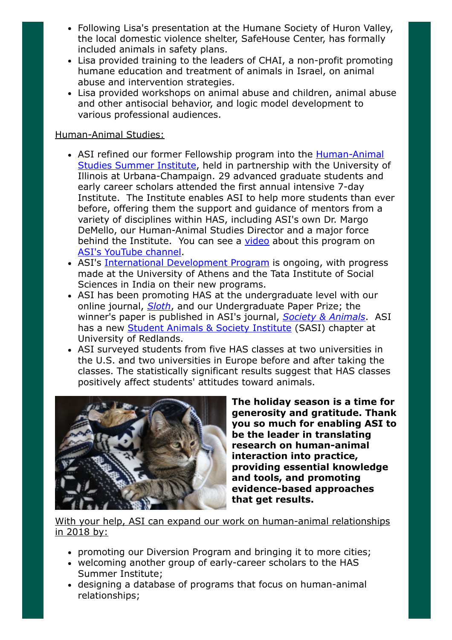- Following Lisa's presentation at the Humane Society of Huron Valley, the local domestic violence shelter, SafeHouse Center, has formally included animals in safety plans.
- Lisa provided training to the leaders of CHAI, a non-profit promoting humane education and treatment of animals in Israel, on animal abuse and intervention strategies.
- Lisa provided workshops on animal abuse and children, animal abuse and other antisocial behavior, and logic model development to various professional audiences.

## Human-Animal Studies:

- ASI refined our former Fellowship program into the **Human-Animal** Studies Summer Institute, held in partnership with the University of Illinois at Urbana-Champaign. 29 advanced graduate students and early career scholars attended the first annual intensive 7-day Institute. The Institute enables ASI to help more students than ever before, offering them the support and guidance of mentors from a variety of disciplines within HAS, including ASI's own Dr. Margo DeMello, our Human-Animal Studies Director and a major force behind the Institute. You can see a [video](https://www.youtube.com/watch?v=-41du1TT-7Y) about this program on [ASI's YouTube channel](https://www.youtube.com/channel/UCYFzG0WRv3bG_bU3HcxesYg).
- ASI's [International Development Program](https://www.animalsandsociety.org/human-animal-studies/international-development-program/) is ongoing, with progress made at the University of Athens and the Tata Institute of Social Sciences in India on their new programs.
- ASI has been promoting HAS at the undergraduate level with our online journal, [Sloth](https://www.animalsandsociety.org/human-animal-studies/sloth/), and our Undergraduate Paper Prize; the winner's paper is published in ASI's journal, [Society & Animals](https://www.animalsandsociety.org/human-animal-studies/society-and-animals-journal/). ASI has a new [Student Animals & Society Institute](https://www.animalsandsociety.org/human-animal-studies/sasis/) (SASI) chapter at University of Redlands.
- ASI surveyed students from five HAS classes at two universities in the U.S. and two universities in Europe before and after taking the classes. The statistically significant results suggest that HAS classes positively affect students' attitudes toward animals.



The holiday season is a time for generosity and gratitude. Thank you so much for enabling ASI to be the leader in translating research on human-animal interaction into practice, providing essential knowledge and tools, and promoting evidence-based approaches that get results.

## With your help, ASI can expand our work on human-animal relationships in 2018 by:

- promoting our Diversion Program and bringing it to more cities;
- welcoming another group of early-career scholars to the HAS Summer Institute;
- designing a database of programs that focus on human-animal relationships;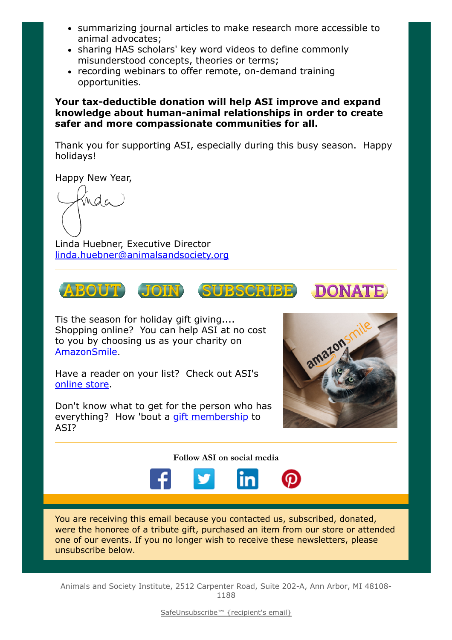- summarizing journal articles to make research more accessible to animal advocates;
- sharing HAS scholars' key word videos to define commonly misunderstood concepts, theories or terms;
- recording webinars to offer remote, on-demand training opportunities.

Your tax-deductible donation will help ASI improve and expand knowledge about human-animal relationships in order to create safer and more compassionate communities for all.

Thank you for supporting ASI, especially during this busy season. Happy holidays!

Happy New Year,

nda

Linda Huebner, Executive Director [linda.huebner@animalsandsociety.org](mailto:linda.huebner@animalsandsociety.org)



Tis the season for holiday gift giving.... Shopping online? You can help ASI at no cost to you by choosing us as your charity on [AmazonSmile](http://smile.amazon.com/ch/22-2527462).

Have a reader on your list? Check out ASI's [online store.](https://www.animalsandsociety.org/store/)

Don't know what to get for the person who has everything? How 'bout a [gift membership](https://www.animalsandsociety.org/join-us/) to ASI?



## Follow ASI on social media



You are receiving this email because you contacted us, subscribed, donated, were the honoree of a tribute gift, purchased an item from our store or attended one of our events. If you no longer wish to receive these newsletters, please unsubscribe below.

Animals and Society Institute, 2512 Carpenter Road, Suite 202-A, Ann Arbor, MI 48108- 1188